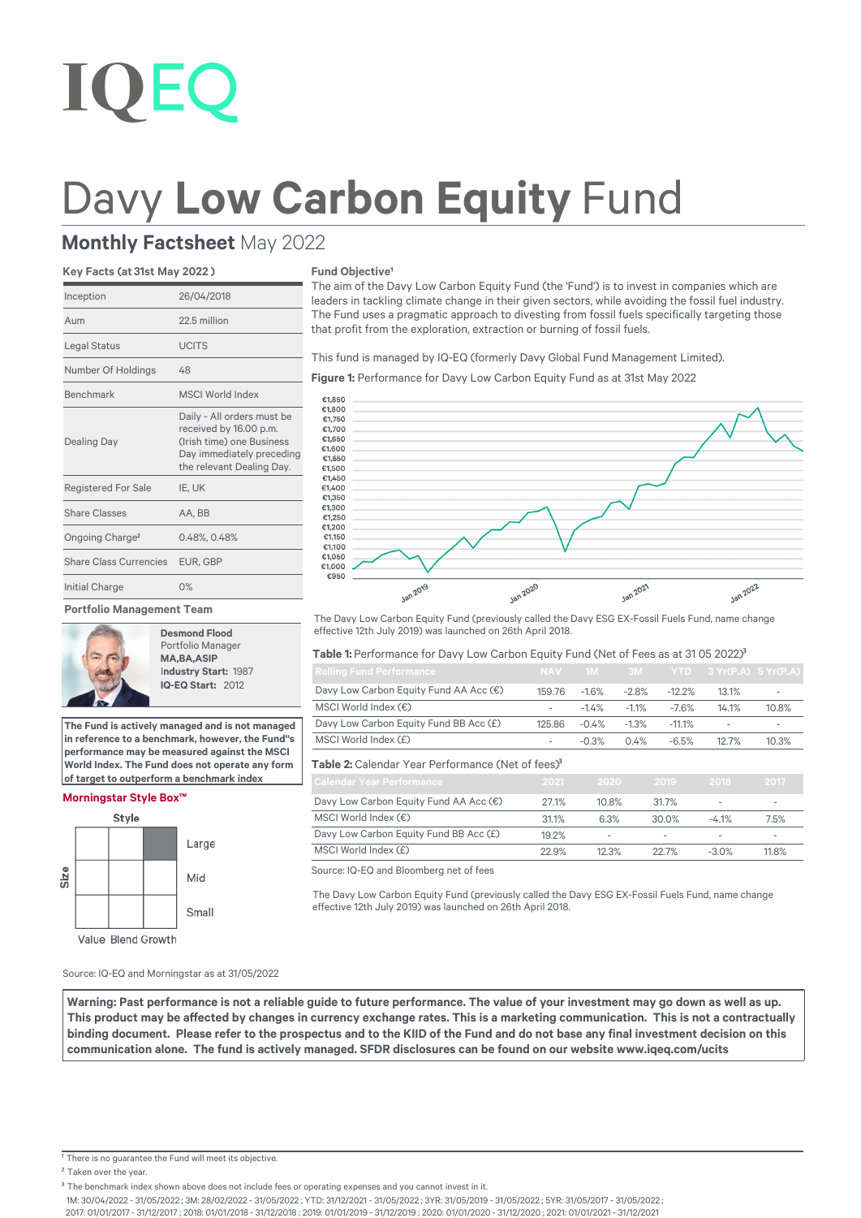# **IOEC**

## Davy Low Carbon Equity Fund

### **Monthly Factsheet** May 2022

#### **Key Facts (at 31st May 2022 )**

| Inception                     | 26/04/2018                                                                                                                                  |
|-------------------------------|---------------------------------------------------------------------------------------------------------------------------------------------|
| Aum                           | 22.5 million                                                                                                                                |
| Legal Status                  | <b>UCITS</b>                                                                                                                                |
| Number Of Holdings            | 48                                                                                                                                          |
| Benchmark                     | <b>MSCI World Index</b>                                                                                                                     |
| <b>Dealing Day</b>            | Daily - All orders must be<br>received by 16.00 p.m.<br>(Irish time) one Business<br>Day immediately preceding<br>the relevant Dealing Day. |
| <b>Registered For Sale</b>    | IE. UK                                                                                                                                      |
| <b>Share Classes</b>          | AA, BB                                                                                                                                      |
| Ongoing Charge <sup>2</sup>   | 0.48%, 0.48%                                                                                                                                |
| <b>Share Class Currencies</b> | EUR, GBP                                                                                                                                    |
| Initial Charge                | 0%                                                                                                                                          |
| - - - - - -                   |                                                                                                                                             |

**Portfolio Management Team**



 **Desmond Flood** Portfolio Manager  **MA,BA,ASIP** I**ndustry Start:** 1987  **IQ-EQ Start:** 2012

**The Fund is actively managed and is not managed in reference to a benchmark, however, the Fund''s performance may be measured against the MSCI World Index. The Fund does not operate any form of target to outperform a benchmark index**

#### **Morningstar Style Box™**



#### **Fund Objective<sup>1</sup>**

The aim of the Davy Low Carbon Equity Fund (the 'Fund') is to invest in companies which are leaders in tackling climate change in their given sectors, while avoiding the fossil fuel industry. The Fund uses a pragmatic approach to divesting from fossil fuels specifically targeting those that profit from the exploration, extraction or burning of fossil fuels.

This fund is managed by IQ-EQ (formerly Davy Global Fund Management Limited).

**Figure 1:** Performance for Davy Low Carbon Equity Fund as at 31st May 2022



The Davy Low Carbon Equity Fund (previously called the Davy ESG EX-Fossil Fuels Fund, name change effective 12th July 2019) was launched on 26th April 2018.

#### Table 1: Performance for Davy Low Carbon Equity Fund (Net of Fees as at 31 05 2022)<sup>3</sup>

| <b>Rolling Fund Performance</b>                               | NAV -                    |         |         |          | 1M 3M YTD 3 Yr(P.A) 5 Yr(P.A) |       |
|---------------------------------------------------------------|--------------------------|---------|---------|----------|-------------------------------|-------|
| Davy Low Carbon Equity Fund AA Acc (€)                        | 159.76                   | $-1.6%$ | $-2.8%$ | $-12.2%$ | 13.1%                         |       |
| MSCI World Index $(\epsilon)$                                 | $\overline{\phantom{a}}$ | $-1.4%$ | $-1.1%$ | $-7.6%$  | 14.1%                         | 10.8% |
| Davy Low Carbon Equity Fund BB Acc (£)                        | 125.86                   | $-0.4%$ | $-1.3%$ | $-11.1%$ | $\overline{\phantom{a}}$      |       |
| MSCI World Index (£)                                          | $\overline{\phantom{a}}$ | $-0.3%$ | 0.4%    | $-6.5%$  | 12.7%                         | 10.3% |
| Table 2: Calendar Year Performance (Net of fees) <sup>3</sup> |                          |         |         |          |                               |       |
| Calendar Year Performance                                     | 2021                     | -2020 - |         | 2019     | 2018                          | 2017  |

| Calendar Year Performance              | 2021. | 7070                     | -2019-   | -2018 -                  | <b>2017</b> |
|----------------------------------------|-------|--------------------------|----------|--------------------------|-------------|
| Davy Low Carbon Equity Fund AA Acc (€) | 27.1% | 10.8%                    | 31.7%    | $\overline{\phantom{a}}$ |             |
| MSCI World Index $(\epsilon)$          | 31.1% | 6.3%                     | $30.0\%$ | $-4.1%$                  | 7.5%        |
| Davy Low Carbon Equity Fund BB Acc (£) | 19.2% | $\overline{\phantom{a}}$ |          |                          |             |
| MSCI World Index (£)                   | 22.9% | 12.3%                    | 22.7%    | $-3.0%$                  | 11.8%       |

Source: IQ-EQ and Bloomberg net of fees

The Davy Low Carbon Equity Fund (previously called the Davy ESG EX-Fossil Fuels Fund, name change effective 12th July 2019) was launched on 26th April 2018.

Source: IQ-EQ and Morningstar as at 31/05/2022

**Warning: Past performance is not a reliable guide to future performance. The value of your investment may go down as well as up.**  This product may be affected by changes in currency exchange rates. This is a marketing communication. This is not a contractually binding document. Please refer to the prospectus and to the KIID of the Fund and do not base any final investment decision on this communication alone. The fund is actively managed. SFDR disclosures can be found on our website www.iqeq.com/ucits

<sup>1</sup> There is no guarantee the Fund will meet its objective.

<sup>2</sup> Taken over the year.

1M: 30/04/2022 - 31/05/2022 ; 3M: 28/02/2022 - 31/05/2022 ; YTD: 31/12/2021 - 31/05/2022 ; 3YR: 31/05/2019 - 31/05/2022 ; 5YR: 31/05/2017 - 31/05/2022 ;

2017: 01/01/2017 - 31/12/2017 ; 2018: 01/01/2018 - 31/12/2018 ; 2019: 01/01/2019 - 31/12/2019 ; 2020: 01/01/2020 - 31/12/2020 ; 2021: 01/01/2021 - 31/12/2021

<sup>&</sup>lt;sup>3</sup> The benchmark index shown above does not include fees or operating expenses and you cannot invest in it.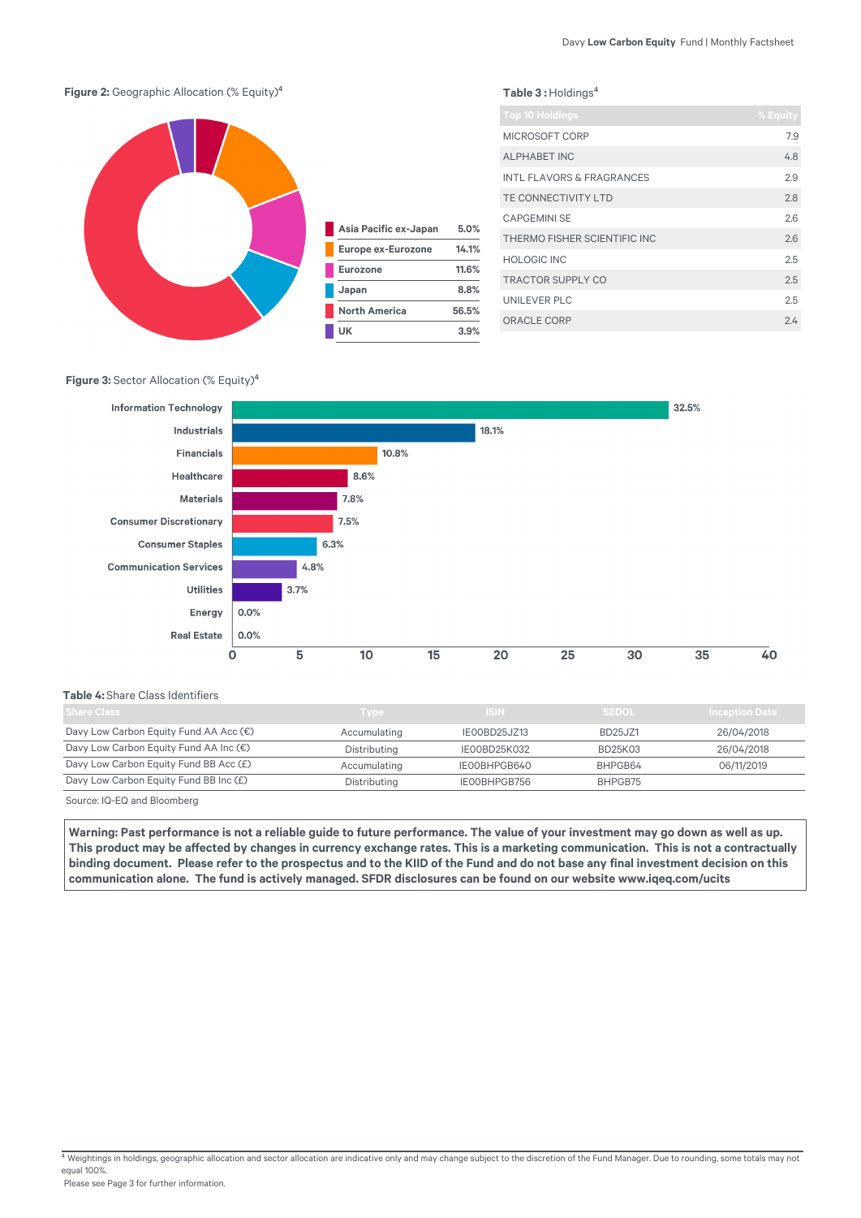

#### **Figure 3: Sector Allocation (% Equity)<sup>4</sup>**



#### **Table 4:** Share Class Identifiers

| Share Class                            | <b>Type</b>  | ISIN.        | <b>SEDOL</b>   | <b>Inception Date</b> |
|----------------------------------------|--------------|--------------|----------------|-----------------------|
| Davy Low Carbon Equity Fund AA Acc (€) | Accumulating | IE00BD25JZ13 | <b>BD25JZ1</b> | 26/04/2018            |
| Davy Low Carbon Equity Fund AA Inc (€) | Distributing | IE00BD25K032 | BD25K03        | 26/04/2018            |
| Davy Low Carbon Equity Fund BB Acc (£) | Accumulating | IE00BHPGB640 | BHPGB64        | 06/11/2019            |
| Davy Low Carbon Equity Fund BB Inc (£) | Distributing | IE00BHPGB756 | BHPGB75        |                       |

Source: IQ-EQ and Bloomberg

Warning: Past performance is not a reliable guide to future performance. The value of your investment may go down as well as up. This product may be affected by changes in currency exchange rates. This is a marketing communication. This is not a contractually binding document. Please refer to the prospectus and to the KIID of the Fund and do not base any final investment decision on this communication alone. The fund is actively managed. SFDR disclosures can be found on our website www.iqeq.com/ucits

 $4$  Weightings in holdings, geographic allocation and sector allocation are indicative only and may change subject to the discretion of the Fund Manager. Due to rounding, some totals may not equal 100%.